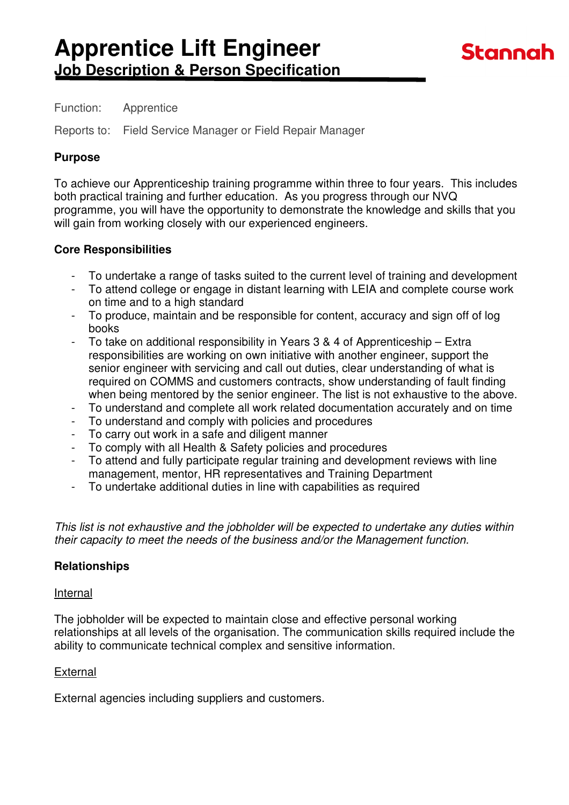### Function: Apprentice

Reports to: Field Service Manager or Field Repair Manager

## **Purpose**

To achieve our Apprenticeship training programme within three to four years. This includes both practical training and further education. As you progress through our NVQ programme, you will have the opportunity to demonstrate the knowledge and skills that you will gain from working closely with our experienced engineers.

## **Core Responsibilities**

- To undertake a range of tasks suited to the current level of training and development
- To attend college or engage in distant learning with LEIA and complete course work on time and to a high standard
- To produce, maintain and be responsible for content, accuracy and sign off of log books
- To take on additional responsibility in Years 3 & 4 of Apprenticeship Extra responsibilities are working on own initiative with another engineer, support the senior engineer with servicing and call out duties, clear understanding of what is required on COMMS and customers contracts, show understanding of fault finding when being mentored by the senior engineer. The list is not exhaustive to the above.
- To understand and complete all work related documentation accurately and on time
- To understand and comply with policies and procedures<br>- To carry out work in a safe and diligent manner
- To carry out work in a safe and diligent manner
- To comply with all Health & Safety policies and procedures
- To attend and fully participate regular training and development reviews with line management, mentor, HR representatives and Training Department
- To undertake additional duties in line with capabilities as required

This list is not exhaustive and the jobholder will be expected to undertake any duties within their capacity to meet the needs of the business and/or the Management function.

## **Relationships**

#### Internal

The jobholder will be expected to maintain close and effective personal working relationships at all levels of the organisation. The communication skills required include the ability to communicate technical complex and sensitive information.

#### External

External agencies including suppliers and customers.